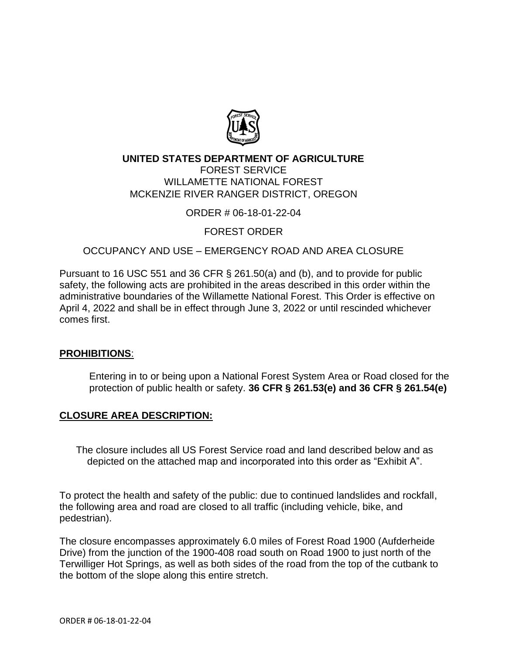

# **UNITED STATES DEPARTMENT OF AGRICULTURE**

FOREST SERVICE WILLAMETTE NATIONAL FOREST MCKENZIE RIVER RANGER DISTRICT, OREGON

ORDER # 06-18-01-22-04

FOREST ORDER

## OCCUPANCY AND USE – EMERGENCY ROAD AND AREA CLOSURE

Pursuant to 16 USC 551 and 36 CFR § 261.50(a) and (b), and to provide for public safety, the following acts are prohibited in the areas described in this order within the administrative boundaries of the Willamette National Forest. This Order is effective on April 4, 2022 and shall be in effect through June 3, 2022 or until rescinded whichever comes first.

### **PROHIBITIONS**:

Entering in to or being upon a National Forest System Area or Road closed for the protection of public health or safety. **36 CFR § 261.53(e) and 36 CFR § 261.54(e)**

## **CLOSURE AREA DESCRIPTION:**

The closure includes all US Forest Service road and land described below and as depicted on the attached map and incorporated into this order as "Exhibit A".

To protect the health and safety of the public: due to continued landslides and rockfall, the following area and road are closed to all traffic (including vehicle, bike, and pedestrian).

The closure encompasses approximately 6.0 miles of Forest Road 1900 (Aufderheide Drive) from the junction of the 1900-408 road south on Road 1900 to just north of the Terwilliger Hot Springs, as well as both sides of the road from the top of the cutbank to the bottom of the slope along this entire stretch.